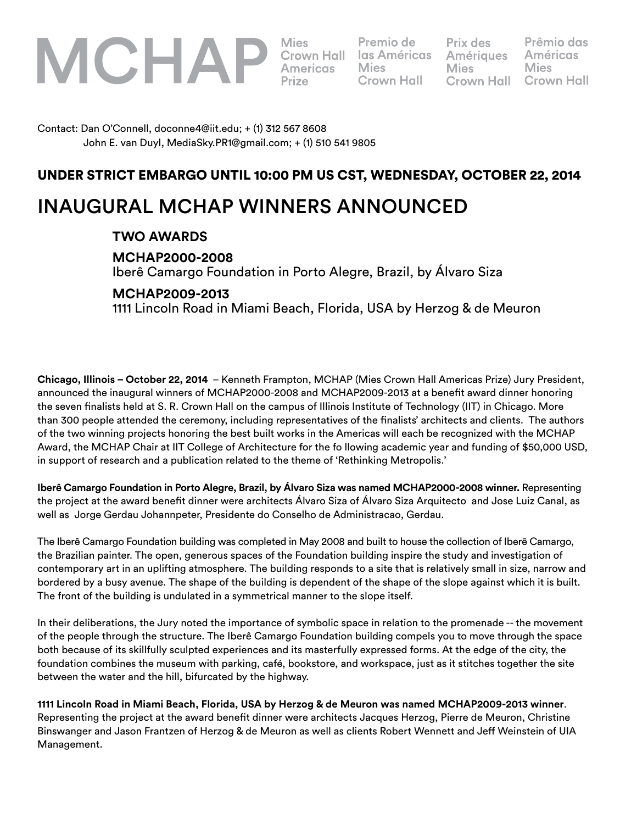

**Mies** 

Premio de **Crown Hall** 

Prix des **Amériques Mies Crown Hall** 

Prêmio das **Américas Mies Crown Hall** 

Contact: Dan O'Connell, doconne4@iit.edu; + (1) 312 567 8608 John E. van Duyl, MediaSky.PR1@gmail.com; + (1) 510 541 9805

## UNDER STRICT EMBARGO UNTIL 10:00 PM US CST, WEDNESDAY, OCTOBER 22, 2014

# INAUGURAL MCHAP WINNERS ANNOUNCED

### **TWO AWARDS**

 **MCHAP2000-2008**

Iberê Camargo Foundation in Porto Alegre, Brazil, by Álvaro Siza

### **MCHAP2009-2013**

1111 Lincoln Road in Miami Beach, Florida, USA by Herzog & de Meuron

**Chicago, Illinois – October 22, 2014** – Kenneth Frampton, MCHAP (Mies Crown Hall Americas Prize) Jury President, announced the inaugural winners of MCHAP2000-2008 and MCHAP2009-2013 at a benefit award dinner honoring the seven finalists held at S. R. Crown Hall on the campus of Illinois Institute of Technology (IIT) in Chicago. More than 300 people attended the ceremony, including representatives of the finalists' architects and clients. The authors of the two winning projects honoring the best built works in the Americas will each be recognized with the MCHAP Award, the MCHAP Chair at IIT College of Architecture for the fo llowing academic year and funding of \$50,000 USD, in support of research and a publication related to the theme of 'Rethinking Metropolis.'

**Iberê Camargo Foundation in Porto Alegre, Brazil, by Álvaro Siza was named MCHAP2000-2008 winner.** Representing the project at the award benefit dinner were architects Álvaro Siza of Álvaro Siza Arquitecto and Jose Luiz Canal, as well as Jorge Gerdau Johannpeter, Presidente do Conselho de Administracao, Gerdau.

The Iberê Camargo Foundation building was completed in May 2008 and built to house the collection of Iberê Camargo, the Brazilian painter. The open, generous spaces of the Foundation building inspire the study and investigation of contemporary art in an uplifting atmosphere. The building responds to a site that is relatively small in size, narrow and bordered by a busy avenue. The shape of the building is dependent of the shape of the slope against which it is built. The front of the building is undulated in a symmetrical manner to the slope itself.

In their deliberations, the Jury noted the importance of symbolic space in relation to the promenade -- the movement of the people through the structure. The Iberê Camargo Foundation building compels you to move through the space both because of its skillfully sculpted experiences and its masterfully expressed forms. At the edge of the city, the foundation combines the museum with parking, café, bookstore, and workspace, just as it stitches together the site between the water and the hill, bifurcated by the highway.

**1111 Lincoln Road in Miami Beach, Florida, USA by Herzog & de Meuron was named MCHAP2009-2013 winner**. Representing the project at the award benefit dinner were architects Jacques Herzog, Pierre de Meuron, Christine Binswanger and Jason Frantzen of Herzog & de Meuron as well as clients Robert Wennett and Jeff Weinstein of UIA Management.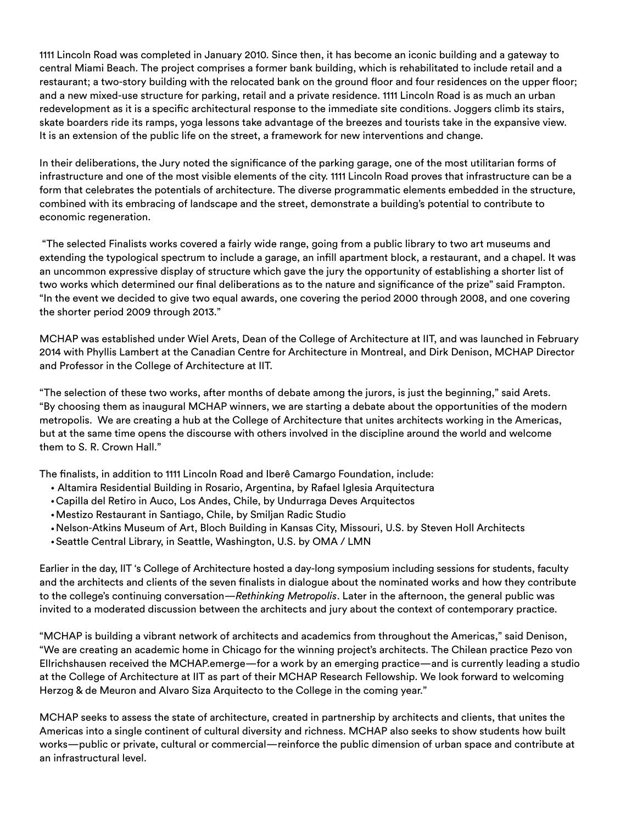1111 Lincoln Road was completed in January 2010. Since then, it has become an iconic building and a gateway to central Miami Beach. The project comprises a former bank building, which is rehabilitated to include retail and a restaurant; a two-story building with the relocated bank on the ground floor and four residences on the upper floor; and a new mixed-use structure for parking, retail and a private residence. 1111 Lincoln Road is as much an urban redevelopment as it is a specific architectural response to the immediate site conditions. Joggers climb its stairs, skate boarders ride its ramps, yoga lessons take advantage of the breezes and tourists take in the expansive view. It is an extension of the public life on the street, a framework for new interventions and change.

In their deliberations, the Jury noted the significance of the parking garage, one of the most utilitarian forms of infrastructure and one of the most visible elements of the city. 1111 Lincoln Road proves that infrastructure can be a form that celebrates the potentials of architecture. The diverse programmatic elements embedded in the structure, combined with its embracing of landscape and the street, demonstrate a building's potential to contribute to economic regeneration.

 "The selected Finalists works covered a fairly wide range, going from a public library to two art museums and extending the typological spectrum to include a garage, an infill apartment block, a restaurant, and a chapel. It was an uncommon expressive display of structure which gave the jury the opportunity of establishing a shorter list of two works which determined our final deliberations as to the nature and significance of the prize" said Frampton. "In the event we decided to give two equal awards, one covering the period 2000 through 2008, and one covering the shorter period 2009 through 2013."

MCHAP was established under Wiel Arets, Dean of the College of Architecture at IIT, and was launched in February 2014 with Phyllis Lambert at the Canadian Centre for Architecture in Montreal, and Dirk Denison, MCHAP Director and Professor in the College of Architecture at IIT.

"The selection of these two works, after months of debate among the jurors, is just the beginning," said Arets. "By choosing them as inaugural MCHAP winners, we are starting a debate about the opportunities of the modern metropolis. We are creating a hub at the College of Architecture that unites architects working in the Americas, but at the same time opens the discourse with others involved in the discipline around the world and welcome them to S. R. Crown Hall."

The finalists, in addition to 1111 Lincoln Road and Iberê Camargo Foundation, include:

- Altamira Residential Building in Rosario, Argentina, by Rafael Iglesia Arquitectura
- Capilla del Retiro in Auco, Los Andes, Chile, by Undurraga Deves Arquitectos
- Mestizo Restaurant in Santiago, Chile, by Smiljan Radic Studio
- Nelson-Atkins Museum of Art, Bloch Building in Kansas City, Missouri, U.S. by Steven Holl Architects
- Seattle Central Library, in Seattle, Washington, U.S. by OMA / LMN

Earlier in the day, IIT 's College of Architecture hosted a day-long symposium including sessions for students, faculty and the architects and clients of the seven finalists in dialogue about the nominated works and how they contribute to the college's continuing conversation—*Rethinking Metropolis*. Later in the afternoon, the general public was invited to a moderated discussion between the architects and jury about the context of contemporary practice.

"MCHAP is building a vibrant network of architects and academics from throughout the Americas," said Denison, "We are creating an academic home in Chicago for the winning project's architects. The Chilean practice Pezo von Ellrichshausen received the MCHAP.emerge—for a work by an emerging practice—and is currently leading a studio at the College of Architecture at IIT as part of their MCHAP Research Fellowship. We look forward to welcoming Herzog & de Meuron and Alvaro Siza Arquitecto to the College in the coming year."

MCHAP seeks to assess the state of architecture, created in partnership by architects and clients, that unites the Americas into a single continent of cultural diversity and richness. MCHAP also seeks to show students how built works—public or private, cultural or commercial—reinforce the public dimension of urban space and contribute at an infrastructural level.